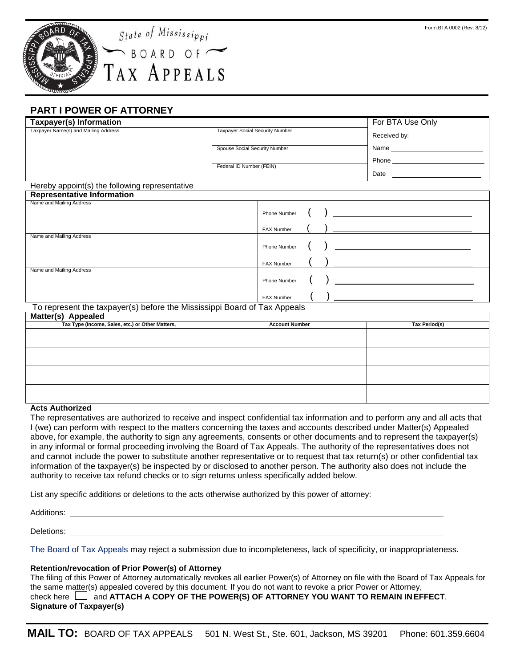

# **PART I POWER OF ATTORNEY**

| Taxpayer(s) Information                        |                                        |              |            |       | For BTA Use Only |
|------------------------------------------------|----------------------------------------|--------------|------------|-------|------------------|
| Taxpayer Name(s) and Mailing Address           | <b>Taxpayer Social Security Number</b> |              |            |       | Received by:     |
|                                                | Spouse Social Security Number          |              |            | Name  |                  |
|                                                |                                        |              |            | Phone |                  |
|                                                | Federal ID Number (FEIN)               |              |            |       | Date             |
| Hereby appoint(s) the following representative |                                        |              |            |       |                  |
| <b>Representative Information</b>              |                                        |              |            |       |                  |
| Name and Mailing Address                       |                                        | Phone Number | $\sqrt{2}$ |       |                  |

|                          | FAX Number   |  |  |
|--------------------------|--------------|--|--|
| Name and Mailing Address | Phone Number |  |  |
|                          |              |  |  |
| Name and Mailing Address | FAX Number   |  |  |
|                          | Phone Number |  |  |
|                          | FAX Number   |  |  |

#### To represent the taxpayer(s) before the Mississippi Board of Tax Appeals

| <b>Matter(s) Appealed</b>                        |                       |               |  |  |  |  |  |
|--------------------------------------------------|-----------------------|---------------|--|--|--|--|--|
| Tax Type (Income, Sales, etc.) or Other Matters, | <b>Account Number</b> | Tax Period(s) |  |  |  |  |  |
|                                                  |                       |               |  |  |  |  |  |
|                                                  |                       |               |  |  |  |  |  |
|                                                  |                       |               |  |  |  |  |  |
|                                                  |                       |               |  |  |  |  |  |

#### **Acts Authorized**

The representatives are authorized to receive and inspect confidential tax information and to perform any and all acts that I (we) can perform with respect to the matters concerning the taxes and accounts described under Matter(s) Appealed above, for example, the authority to sign any agreements, consents or other documents and to represent the taxpayer(s) in any informal or formal proceeding involving the Board of Tax Appeals. The authority of the representatives does not and cannot include the power to substitute another representative or to request that tax return(s) or other confidential tax information of the taxpayer(s) be inspected by or disclosed to another person. The authority also does not include the authority to receive tax refund checks or to sign returns unless specifically added below.

List any specific additions or deletions to the acts otherwise authorized by this power of attorney:

Additions:

Deletions:

The Board of Tax Appeals may reject a submission due to incompleteness, lack of specificity, or inappropriateness.

#### **Retention/revocation of Prior Power(s) of Attorney**

The filing of this Power of Attorney automatically revokes all earlier Power(s) of Attorney on file with the Board of Tax Appeals for the same matter(s) appealed covered by this document. If you do not want to revoke a prior Power or Attorney, check here and **ATTACH A COPY OF THE POWER(S) OF ATTORNEY YOU WANT TO REMAIN IN EFFECT**.

# **Signature of Taxpayer(s)**